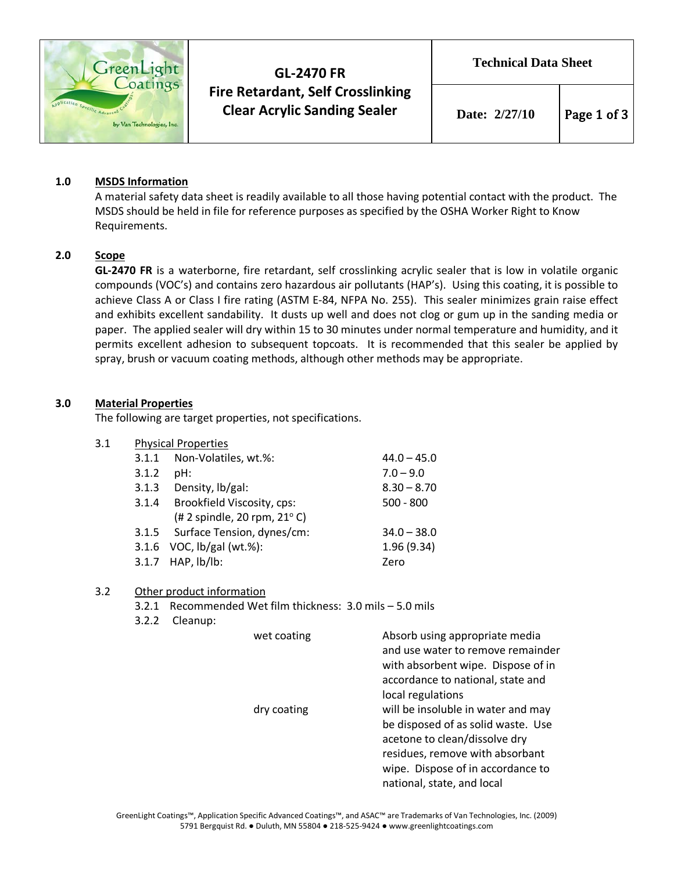

# **GL-2470 FR Fire Retardant, Self Crosslinking Clear Acrylic Sanding Sealer**

**Technical Data Sheet**

## **1.0 MSDS Information**

A material safety data sheet is readily available to all those having potential contact with the product. The MSDS should be held in file for reference purposes as specified by the OSHA Worker Right to Know Requirements.

## **2.0 Scope**

**GL-2470 FR** is a waterborne, fire retardant, self crosslinking acrylic sealer that is low in volatile organic compounds (VOC's) and contains zero hazardous air pollutants (HAP's). Using this coating, it is possible to achieve Class A or Class I fire rating (ASTM E-84, NFPA No. 255). This sealer minimizes grain raise effect and exhibits excellent sandability. It dusts up well and does not clog or gum up in the sanding media or paper. The applied sealer will dry within 15 to 30 minutes under normal temperature and humidity, and it permits excellent adhesion to subsequent topcoats. It is recommended that this sealer be applied by spray, brush or vacuum coating methods, although other methods may be appropriate.

## **3.0 Material Properties**

The following are target properties, not specifications.

## 3.1 Physical Properties

| 3.1.1 | Non-Volatiles, wt.%:                  | $44.0 - 45.0$ |
|-------|---------------------------------------|---------------|
| 3.1.2 | pH:                                   | $7.0 - 9.0$   |
| 3.1.3 | Density, lb/gal:                      | $8.30 - 8.70$ |
| 3.1.4 | Brookfield Viscosity, cps:            | $500 - 800$   |
|       | (# 2 spindle, 20 rpm, $21^{\circ}$ C) |               |
|       | 3.1.5 Surface Tension, dynes/cm:      | $34.0 - 38.0$ |
|       | 3.1.6 VOC, lb/gal (wt.%):             | 1.96(9.34)    |
|       | 3.1.7 HAP, lb/lb:                     | Zero          |
|       |                                       |               |

#### 3.2 Other product information

- 3.2.1 Recommended Wet film thickness: 3.0 mils 5.0 mils
- 3.2.2 Cleanup:

| wet coating | Absorb using appropriate media<br>and use water to remove remainder<br>with absorbent wipe. Dispose of in<br>accordance to national, state and                    |
|-------------|-------------------------------------------------------------------------------------------------------------------------------------------------------------------|
| dry coating | local regulations<br>will be insoluble in water and may<br>be disposed of as solid waste. Use<br>acetone to clean/dissolve dry<br>residues, remove with absorbant |
|             | wipe. Dispose of in accordance to<br>national, state, and local                                                                                                   |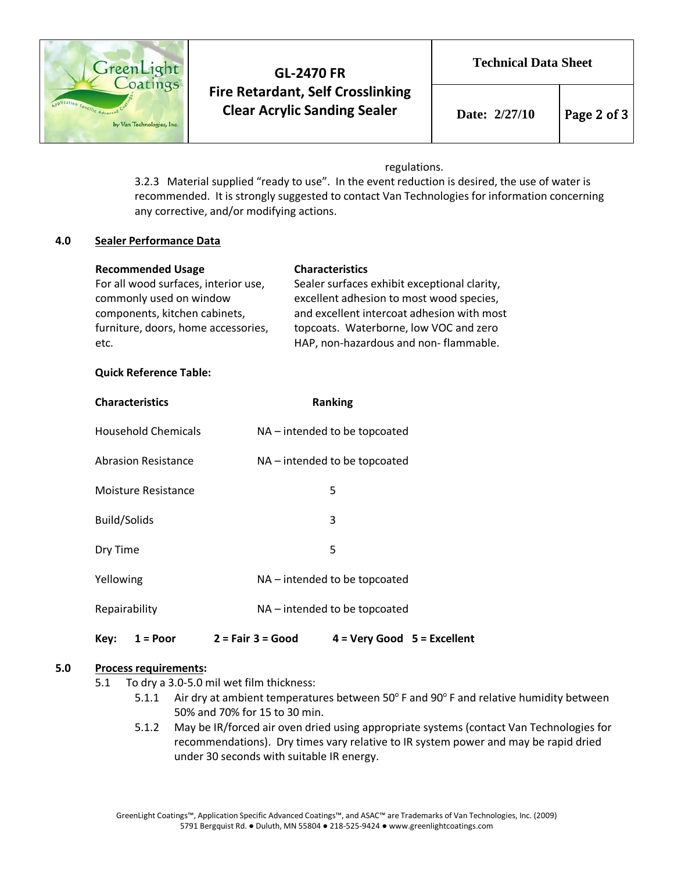

## **GL-2470 FR Fire Retardant, Self Crosslinking Clear Acrylic Sanding Sealer**

### regulations.

3.2.3 Material supplied "ready to use". In the event reduction is desired, the use of water is recommended. It is strongly suggested to contact Van Technologies for information concerning any corrective, and/or modifying actions.

### **4.0 Sealer Performance Data**

| <b>Recommended Usage</b>             | <b>Characteristics</b>                       |
|--------------------------------------|----------------------------------------------|
| For all wood surfaces, interior use, | Sealer surfaces exhibit exceptional clarity, |
| commonly used on window              | excellent adhesion to most wood species,     |
| components, kitchen cabinets,        | and excellent intercoat adhesion with most   |
| furniture, doors, home accessories,  | topcoats. Waterborne, low VOC and zero       |
| etc.                                 | HAP, non-hazardous and non-flammable.        |

### **Quick Reference Table:**

| <b>Characteristics</b>     | <b>Ranking</b>                |                               |  |
|----------------------------|-------------------------------|-------------------------------|--|
| <b>Household Chemicals</b> |                               | NA – intended to be topcoated |  |
| <b>Abrasion Resistance</b> |                               | NA – intended to be topcoated |  |
| Moisture Resistance        |                               | 5                             |  |
| <b>Build/Solids</b>        |                               | 3                             |  |
| Dry Time                   |                               | 5                             |  |
| Yellowing                  | NA – intended to be topcoated |                               |  |
| Repairability              | NA – intended to be topcoated |                               |  |
| Key:<br>$1 = Poor$         | $2 = Fair 3 = Good$           | $4 = Very Good 5 = Excellent$ |  |

## **5.0 Process requirements:**

- 5.1 To dry a 3.0-5.0 mil wet film thickness:
	- 5.1.1 Air dry at ambient temperatures between  $50^{\circ}$  F and  $90^{\circ}$  F and relative humidity between 50% and 70% for 15 to 30 min.
	- 5.1.2 May be IR/forced air oven dried using appropriate systems (contact Van Technologies for recommendations). Dry times vary relative to IR system power and may be rapid dried under 30 seconds with suitable IR energy.